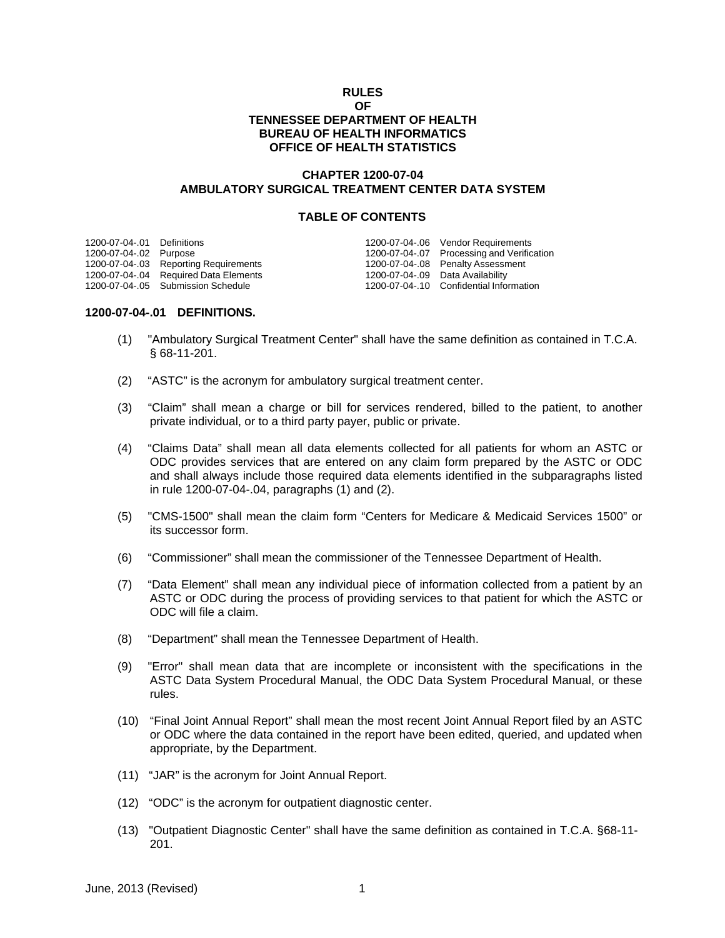### **RULES OF TENNESSEE DEPARTMENT OF HEALTH BUREAU OF HEALTH INFORMATICS OFFICE OF HEALTH STATISTICS**

# **CHAPTER 1200-07-04 AMBULATORY SURGICAL TREATMENT CENTER DATA SYSTEM**

### **TABLE OF CONTENTS**

| 1200-07-04-.01 Definitions |                                       |                                  | 1200-07-04-.06 Vendor Requirements         |
|----------------------------|---------------------------------------|----------------------------------|--------------------------------------------|
| 1200-07-04-.02 Purpose     |                                       |                                  | 1200-07-04-.07 Processing and Verification |
|                            | 1200-07-04-.03 Reporting Requirements |                                  | 1200-07-04-.08 Penalty Assessment          |
|                            | 1200-07-04-.04 Required Data Elements | 1200-07-04-.09 Data Availability |                                            |
|                            | 1200-07-04-.05 Submission Schedule    |                                  | 1200-07-04-.10 Confidential Information    |
|                            |                                       |                                  |                                            |

### **1200-07-04-.01 DEFINITIONS.**

- (1) "Ambulatory Surgical Treatment Center" shall have the same definition as contained in T.C.A. § 68-11-201.
- (2) "ASTC" is the acronym for ambulatory surgical treatment center.
- (3) "Claim" shall mean a charge or bill for services rendered, billed to the patient, to another private individual, or to a third party payer, public or private.
- (4) "Claims Data" shall mean all data elements collected for all patients for whom an ASTC or ODC provides services that are entered on any claim form prepared by the ASTC or ODC and shall always include those required data elements identified in the subparagraphs listed in rule 1200-07-04-.04, paragraphs (1) and (2).
- (5) "CMS-1500" shall mean the claim form "Centers for Medicare & Medicaid Services 1500" or its successor form.
- (6) "Commissioner" shall mean the commissioner of the Tennessee Department of Health.
- (7) "Data Element" shall mean any individual piece of information collected from a patient by an ASTC or ODC during the process of providing services to that patient for which the ASTC or ODC will file a claim.
- (8) "Department" shall mean the Tennessee Department of Health.
- (9) "Error" shall mean data that are incomplete or inconsistent with the specifications in the ASTC Data System Procedural Manual, the ODC Data System Procedural Manual, or these rules.
- (10) "Final Joint Annual Report" shall mean the most recent Joint Annual Report filed by an ASTC or ODC where the data contained in the report have been edited, queried, and updated when appropriate, by the Department.
- (11) "JAR" is the acronym for Joint Annual Report.
- (12) "ODC" is the acronym for outpatient diagnostic center.
- (13) "Outpatient Diagnostic Center" shall have the same definition as contained in T.C.A. §68-11- 201.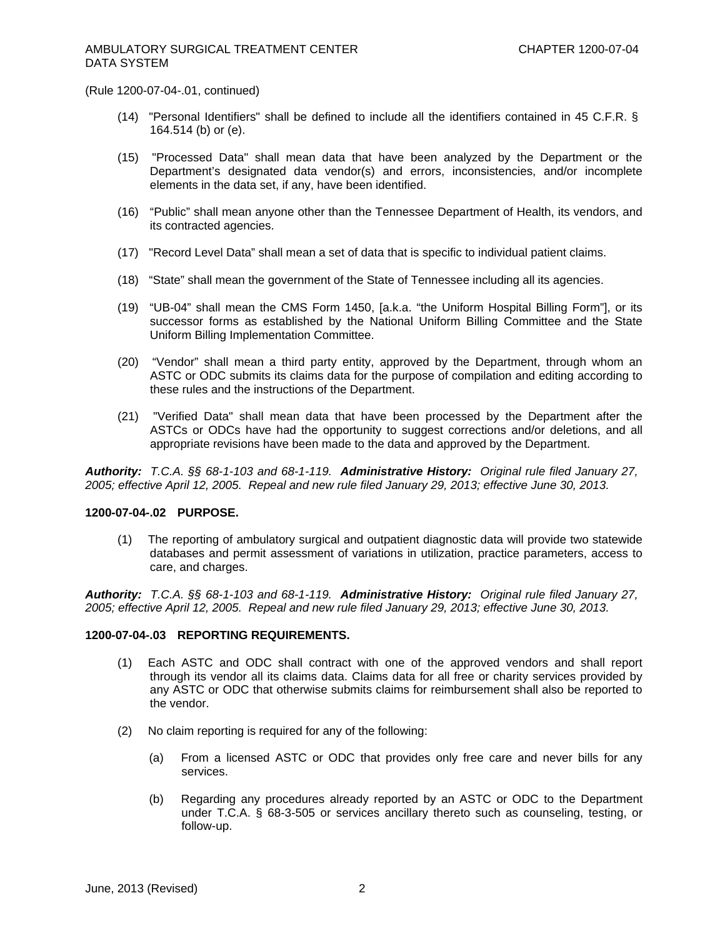(Rule 1200-07-04-.01, continued)

- (14) "Personal Identifiers" shall be defined to include all the identifiers contained in 45 C.F.R. § 164.514 (b) or (e).
- (15) "Processed Data" shall mean data that have been analyzed by the Department or the Department's designated data vendor(s) and errors, inconsistencies, and/or incomplete elements in the data set, if any, have been identified.
- (16) "Public" shall mean anyone other than the Tennessee Department of Health, its vendors, and its contracted agencies.
- (17) "Record Level Data" shall mean a set of data that is specific to individual patient claims.
- (18) "State" shall mean the government of the State of Tennessee including all its agencies.
- (19) "UB-04" shall mean the CMS Form 1450, [a.k.a. "the Uniform Hospital Billing Form"], or its successor forms as established by the National Uniform Billing Committee and the State Uniform Billing Implementation Committee.
- (20) "Vendor" shall mean a third party entity, approved by the Department, through whom an ASTC or ODC submits its claims data for the purpose of compilation and editing according to these rules and the instructions of the Department.
- (21) "Verified Data" shall mean data that have been processed by the Department after the ASTCs or ODCs have had the opportunity to suggest corrections and/or deletions, and all appropriate revisions have been made to the data and approved by the Department.

*Authority: T.C.A. §§ 68-1-103 and 68-1-119. Administrative History: Original rule filed January 27, 2005; effective April 12, 2005. Repeal and new rule filed January 29, 2013; effective June 30, 2013.*

#### **1200-07-04-.02 PURPOSE.**

(1) The reporting of ambulatory surgical and outpatient diagnostic data will provide two statewide databases and permit assessment of variations in utilization, practice parameters, access to care, and charges.

*Authority: T.C.A. §§ 68-1-103 and 68-1-119. Administrative History: Original rule filed January 27, 2005; effective April 12, 2005. Repeal and new rule filed January 29, 2013; effective June 30, 2013.*

#### **1200-07-04-.03 REPORTING REQUIREMENTS.**

- (1) Each ASTC and ODC shall contract with one of the approved vendors and shall report through its vendor all its claims data. Claims data for all free or charity services provided by any ASTC or ODC that otherwise submits claims for reimbursement shall also be reported to the vendor.
- (2) No claim reporting is required for any of the following:
	- (a) From a licensed ASTC or ODC that provides only free care and never bills for any services.
	- (b) Regarding any procedures already reported by an ASTC or ODC to the Department under T.C.A. § 68-3-505 or services ancillary thereto such as counseling, testing, or follow-up.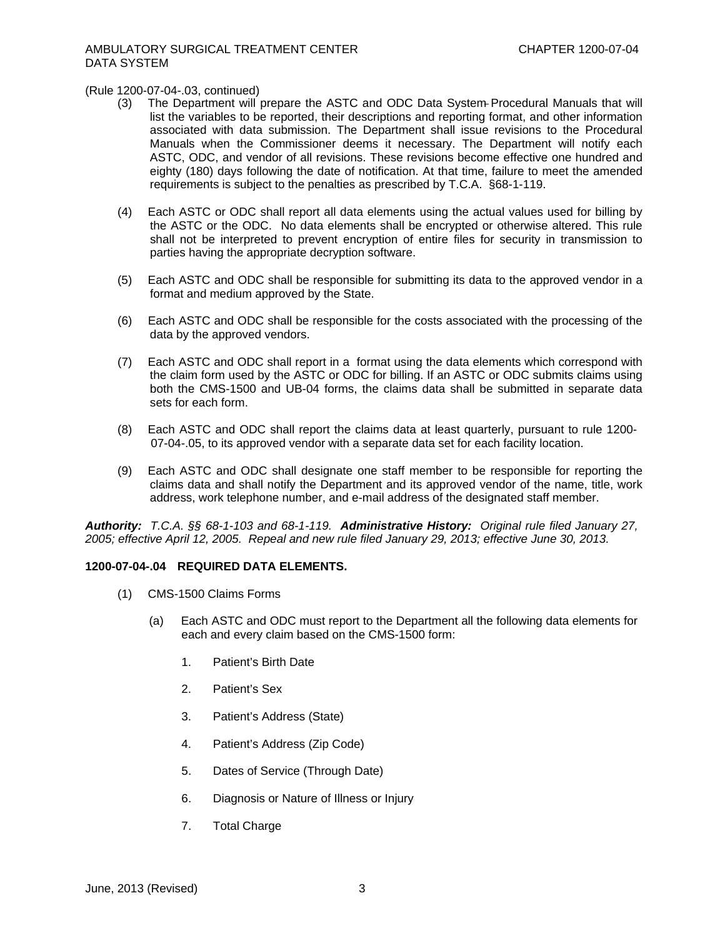#### (Rule 1200-07-04-.03, continued)

- (3) The Department will prepare the ASTC and ODC Data System Procedural Manuals that will list the variables to be reported, their descriptions and reporting format, and other information associated with data submission. The Department shall issue revisions to the Procedural Manuals when the Commissioner deems it necessary. The Department will notify each ASTC, ODC, and vendor of all revisions. These revisions become effective one hundred and eighty (180) days following the date of notification. At that time, failure to meet the amended requirements is subject to the penalties as prescribed by T.C.A. §68-1-119.
- (4) Each ASTC or ODC shall report all data elements using the actual values used for billing by the ASTC or the ODC. No data elements shall be encrypted or otherwise altered. This rule shall not be interpreted to prevent encryption of entire files for security in transmission to parties having the appropriate decryption software.
- (5) Each ASTC and ODC shall be responsible for submitting its data to the approved vendor in a format and medium approved by the State.
- (6) Each ASTC and ODC shall be responsible for the costs associated with the processing of the data by the approved vendors.
- (7) Each ASTC and ODC shall report in a format using the data elements which correspond with the claim form used by the ASTC or ODC for billing. If an ASTC or ODC submits claims using both the CMS-1500 and UB-04 forms, the claims data shall be submitted in separate data sets for each form.
- (8) Each ASTC and ODC shall report the claims data at least quarterly, pursuant to rule 1200- 07-04-.05, to its approved vendor with a separate data set for each facility location.
- (9) Each ASTC and ODC shall designate one staff member to be responsible for reporting the claims data and shall notify the Department and its approved vendor of the name, title, work address, work telephone number, and e-mail address of the designated staff member.

*Authority: T.C.A. §§ 68-1-103 and 68-1-119. Administrative History: Original rule filed January 27, 2005; effective April 12, 2005. Repeal and new rule filed January 29, 2013; effective June 30, 2013.*

## **1200-07-04-.04 REQUIRED DATA ELEMENTS.**

- (1) CMS-1500 Claims Forms
	- (a) Each ASTC and ODC must report to the Department all the following data elements for each and every claim based on the CMS-1500 form:
		- 1. Patient's Birth Date
		- 2. Patient's Sex
		- 3. Patient's Address (State)
		- 4. Patient's Address (Zip Code)
		- 5. Dates of Service (Through Date)
		- 6. Diagnosis or Nature of Illness or Injury
		- 7. Total Charge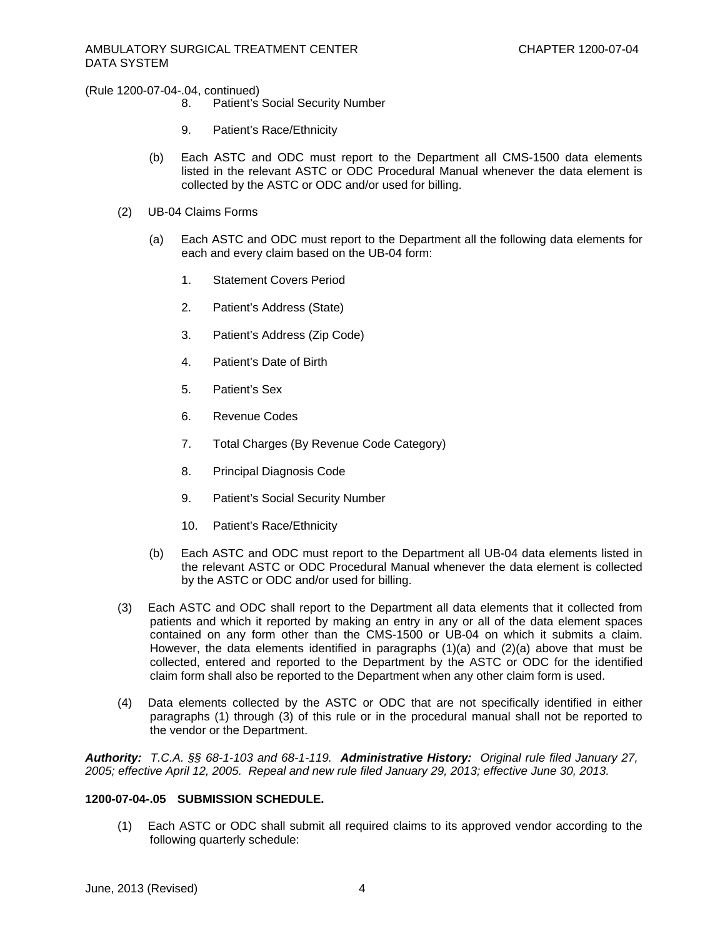(Rule 1200-07-04-.04, continued)

- 8. Patient's Social Security Number
- 9. Patient's Race/Ethnicity
- (b) Each ASTC and ODC must report to the Department all CMS-1500 data elements listed in the relevant ASTC or ODC Procedural Manual whenever the data element is collected by the ASTC or ODC and/or used for billing.
- (2) UB-04 Claims Forms
	- (a) Each ASTC and ODC must report to the Department all the following data elements for each and every claim based on the UB-04 form:
		- 1. Statement Covers Period
		- 2. Patient's Address (State)
		- 3. Patient's Address (Zip Code)
		- 4. Patient's Date of Birth
		- 5. Patient's Sex
		- 6. Revenue Codes
		- 7. Total Charges (By Revenue Code Category)
		- 8. Principal Diagnosis Code
		- 9. Patient's Social Security Number
		- 10. Patient's Race/Ethnicity
	- (b) Each ASTC and ODC must report to the Department all UB-04 data elements listed in the relevant ASTC or ODC Procedural Manual whenever the data element is collected by the ASTC or ODC and/or used for billing.
- (3) Each ASTC and ODC shall report to the Department all data elements that it collected from patients and which it reported by making an entry in any or all of the data element spaces contained on any form other than the CMS-1500 or UB-04 on which it submits a claim. However, the data elements identified in paragraphs (1)(a) and (2)(a) above that must be collected, entered and reported to the Department by the ASTC or ODC for the identified claim form shall also be reported to the Department when any other claim form is used.
- (4) Data elements collected by the ASTC or ODC that are not specifically identified in either paragraphs (1) through (3) of this rule or in the procedural manual shall not be reported to the vendor or the Department.

*Authority: T.C.A. §§ 68-1-103 and 68-1-119. Administrative History: Original rule filed January 27, 2005; effective April 12, 2005. Repeal and new rule filed January 29, 2013; effective June 30, 2013.*

### **1200-07-04-.05 SUBMISSION SCHEDULE.**

(1) Each ASTC or ODC shall submit all required claims to its approved vendor according to the following quarterly schedule: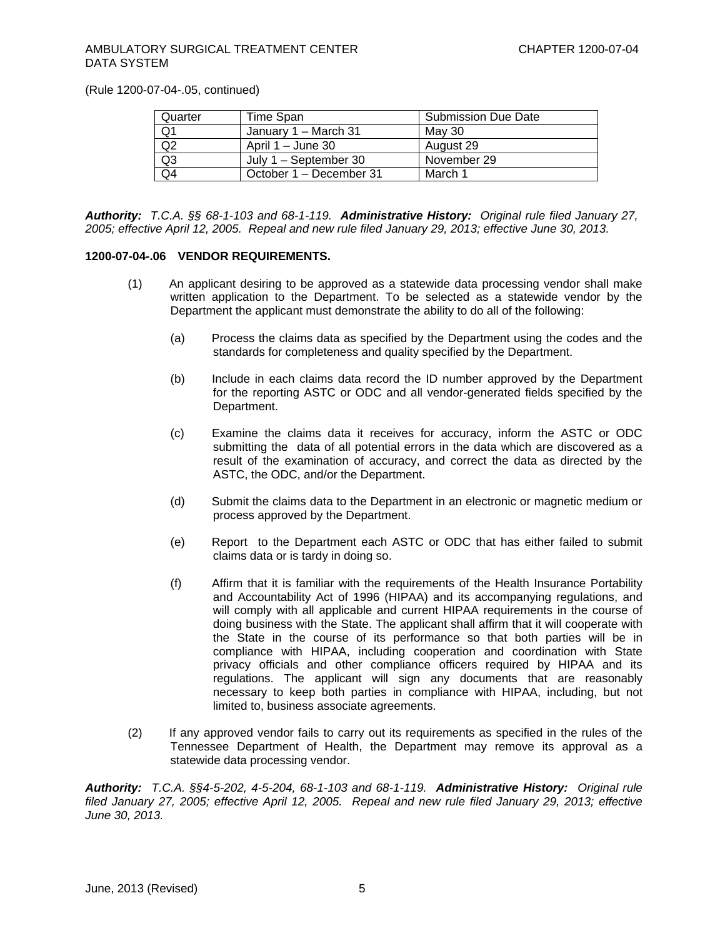## AMBULATORY SURGICAL TREATMENT CENTER DATA SYSTEM

(Rule 1200-07-04-.05, continued)

| Quarter        | Time Span               | <b>Submission Due Date</b> |  |
|----------------|-------------------------|----------------------------|--|
| Q1             | January 1 – March 31    | May 30                     |  |
| Q <sub>2</sub> | April $1 -$ June 30     | August 29                  |  |
| Q <sub>3</sub> | July $1 -$ September 30 | November 29                |  |
| Q4             | October 1 – December 31 | March 1                    |  |

*Authority: T.C.A. §§ 68-1-103 and 68-1-119. Administrative History: Original rule filed January 27, 2005; effective April 12, 2005. Repeal and new rule filed January 29, 2013; effective June 30, 2013.*

# **1200-07-04-.06 VENDOR REQUIREMENTS.**

- (1) An applicant desiring to be approved as a statewide data processing vendor shall make written application to the Department. To be selected as a statewide vendor by the Department the applicant must demonstrate the ability to do all of the following:
	- (a) Process the claims data as specified by the Department using the codes and the standards for completeness and quality specified by the Department.
	- (b) Include in each claims data record the ID number approved by the Department for the reporting ASTC or ODC and all vendor-generated fields specified by the Department.
	- (c) Examine the claims data it receives for accuracy, inform the ASTC or ODC submitting the data of all potential errors in the data which are discovered as a result of the examination of accuracy, and correct the data as directed by the ASTC, the ODC, and/or the Department.
	- (d) Submit the claims data to the Department in an electronic or magnetic medium or process approved by the Department.
	- (e) Report to the Department each ASTC or ODC that has either failed to submit claims data or is tardy in doing so.
	- (f) Affirm that it is familiar with the requirements of the Health Insurance Portability and Accountability Act of 1996 (HIPAA) and its accompanying regulations, and will comply with all applicable and current HIPAA requirements in the course of doing business with the State. The applicant shall affirm that it will cooperate with the State in the course of its performance so that both parties will be in compliance with HIPAA, including cooperation and coordination with State privacy officials and other compliance officers required by HIPAA and its regulations. The applicant will sign any documents that are reasonably necessary to keep both parties in compliance with HIPAA, including, but not limited to, business associate agreements.
- (2) If any approved vendor fails to carry out its requirements as specified in the rules of the Tennessee Department of Health, the Department may remove its approval as a statewide data processing vendor.

*Authority: T.C.A. §§4-5-202, 4-5-204, 68-1-103 and 68-1-119. Administrative History: Original rule filed January 27, 2005; effective April 12, 2005. Repeal and new rule filed January 29, 2013; effective June 30, 2013.*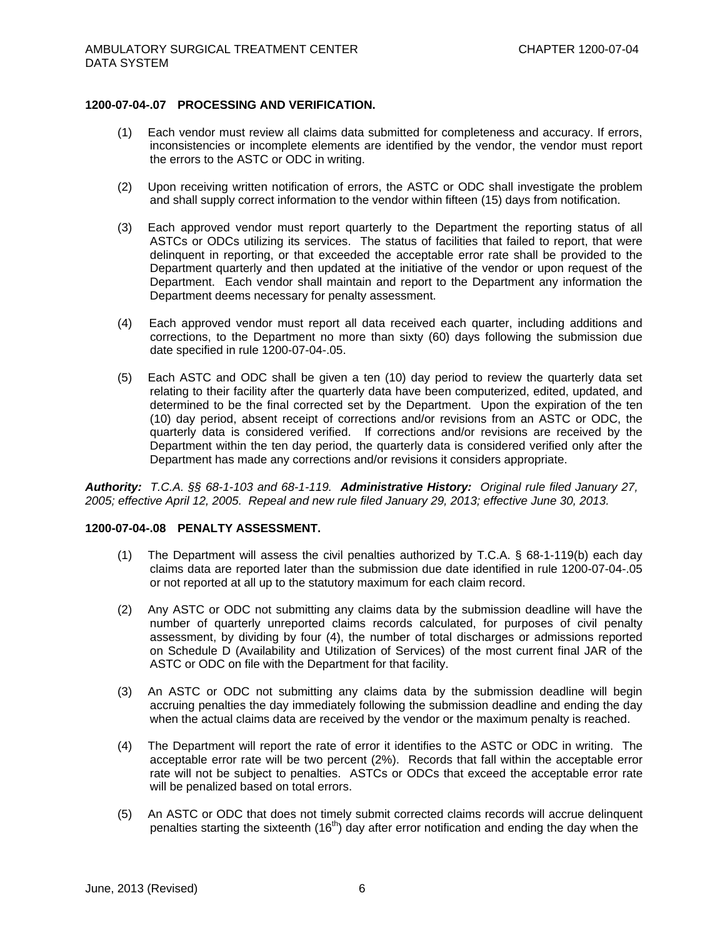### **1200-07-04-.07 PROCESSING AND VERIFICATION.**

- (1) Each vendor must review all claims data submitted for completeness and accuracy. If errors, inconsistencies or incomplete elements are identified by the vendor, the vendor must report the errors to the ASTC or ODC in writing.
- (2) Upon receiving written notification of errors, the ASTC or ODC shall investigate the problem and shall supply correct information to the vendor within fifteen (15) days from notification.
- (3) Each approved vendor must report quarterly to the Department the reporting status of all ASTCs or ODCs utilizing its services. The status of facilities that failed to report, that were delinquent in reporting, or that exceeded the acceptable error rate shall be provided to the Department quarterly and then updated at the initiative of the vendor or upon request of the Department. Each vendor shall maintain and report to the Department any information the Department deems necessary for penalty assessment.
- (4) Each approved vendor must report all data received each quarter, including additions and corrections, to the Department no more than sixty (60) days following the submission due date specified in rule 1200-07-04-.05.
- (5) Each ASTC and ODC shall be given a ten (10) day period to review the quarterly data set relating to their facility after the quarterly data have been computerized, edited, updated, and determined to be the final corrected set by the Department. Upon the expiration of the ten (10) day period, absent receipt of corrections and/or revisions from an ASTC or ODC, the quarterly data is considered verified. If corrections and/or revisions are received by the Department within the ten day period, the quarterly data is considered verified only after the Department has made any corrections and/or revisions it considers appropriate.

*Authority: T.C.A. §§ 68-1-103 and 68-1-119. Administrative History: Original rule filed January 27, 2005; effective April 12, 2005. Repeal and new rule filed January 29, 2013; effective June 30, 2013.*

# **1200-07-04-.08 PENALTY ASSESSMENT.**

- (1) The Department will assess the civil penalties authorized by T.C.A. § 68-1-119(b) each day claims data are reported later than the submission due date identified in rule 1200-07-04-.05 or not reported at all up to the statutory maximum for each claim record.
- (2) Any ASTC or ODC not submitting any claims data by the submission deadline will have the number of quarterly unreported claims records calculated, for purposes of civil penalty assessment, by dividing by four (4), the number of total discharges or admissions reported on Schedule D (Availability and Utilization of Services) of the most current final JAR of the ASTC or ODC on file with the Department for that facility.
- (3) An ASTC or ODC not submitting any claims data by the submission deadline will begin accruing penalties the day immediately following the submission deadline and ending the day when the actual claims data are received by the vendor or the maximum penalty is reached.
- (4) The Department will report the rate of error it identifies to the ASTC or ODC in writing. The acceptable error rate will be two percent (2%). Records that fall within the acceptable error rate will not be subject to penalties. ASTCs or ODCs that exceed the acceptable error rate will be penalized based on total errors.
- (5) An ASTC or ODC that does not timely submit corrected claims records will accrue delinquent penalties starting the sixteenth  $(16<sup>th</sup>)$  day after error notification and ending the day when the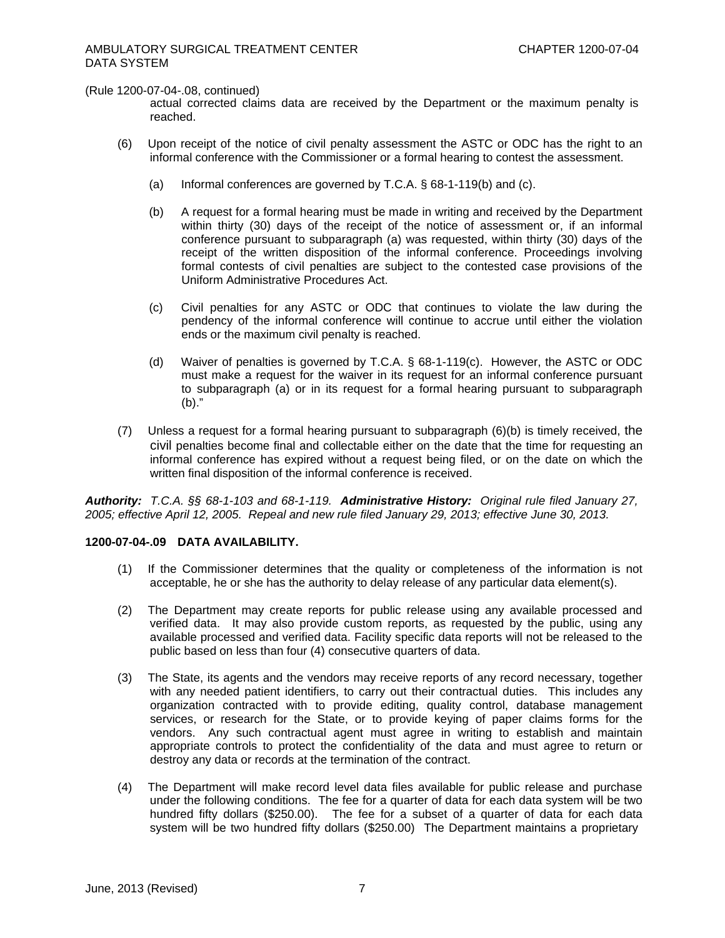(Rule 1200-07-04-.08, continued)

actual corrected claims data are received by the Department or the maximum penalty is reached.

- (6) Upon receipt of the notice of civil penalty assessment the ASTC or ODC has the right to an informal conference with the Commissioner or a formal hearing to contest the assessment.
	- (a) Informal conferences are governed by T.C.A. § 68-1-119(b) and (c).
	- (b) A request for a formal hearing must be made in writing and received by the Department within thirty (30) days of the receipt of the notice of assessment or, if an informal conference pursuant to subparagraph (a) was requested, within thirty (30) days of the receipt of the written disposition of the informal conference. Proceedings involving formal contests of civil penalties are subject to the contested case provisions of the Uniform Administrative Procedures Act.
	- (c) Civil penalties for any ASTC or ODC that continues to violate the law during the pendency of the informal conference will continue to accrue until either the violation ends or the maximum civil penalty is reached.
	- (d) Waiver of penalties is governed by T.C.A. § 68-1-119(c). However, the ASTC or ODC must make a request for the waiver in its request for an informal conference pursuant to subparagraph (a) or in its request for a formal hearing pursuant to subparagraph (b)."
- (7) Unless a request for a formal hearing pursuant to subparagraph (6)(b) is timely received, the civil penalties become final and collectable either on the date that the time for requesting an informal conference has expired without a request being filed, or on the date on which the written final disposition of the informal conference is received.

*Authority: T.C.A. §§ 68-1-103 and 68-1-119. Administrative History: Original rule filed January 27, 2005; effective April 12, 2005. Repeal and new rule filed January 29, 2013; effective June 30, 2013.*

### **1200-07-04-.09 DATA AVAILABILITY.**

- (1) If the Commissioner determines that the quality or completeness of the information is not acceptable, he or she has the authority to delay release of any particular data element(s).
- (2) The Department may create reports for public release using any available processed and verified data. It may also provide custom reports, as requested by the public, using any available processed and verified data. Facility specific data reports will not be released to the public based on less than four (4) consecutive quarters of data.
- (3) The State, its agents and the vendors may receive reports of any record necessary, together with any needed patient identifiers, to carry out their contractual duties. This includes any organization contracted with to provide editing, quality control, database management services, or research for the State, or to provide keying of paper claims forms for the vendors. Any such contractual agent must agree in writing to establish and maintain appropriate controls to protect the confidentiality of the data and must agree to return or destroy any data or records at the termination of the contract.
- (4) The Department will make record level data files available for public release and purchase under the following conditions. The fee for a quarter of data for each data system will be two hundred fifty dollars (\$250.00). The fee for a subset of a quarter of data for each data system will be two hundred fifty dollars (\$250.00) The Department maintains a proprietary